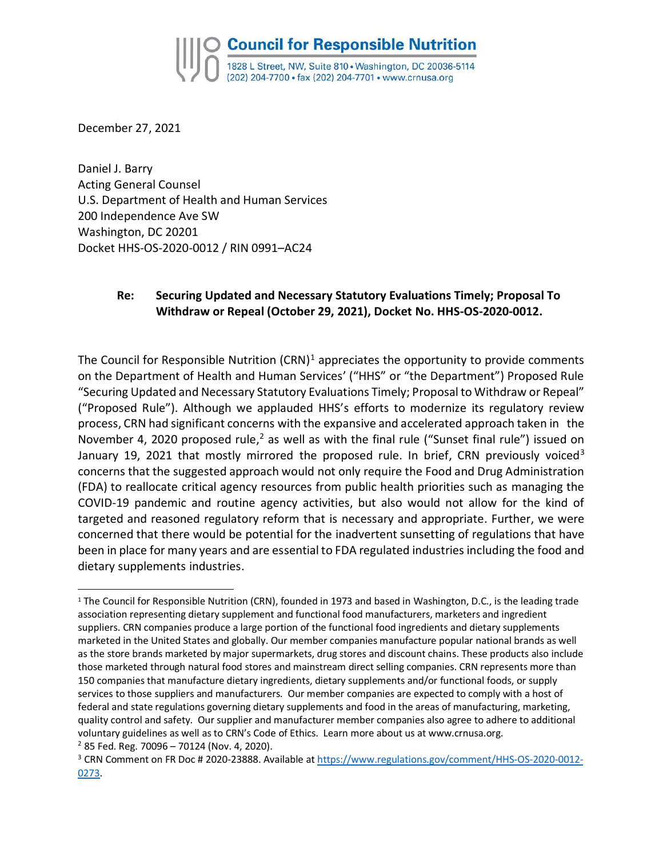December 27, 2021

 $\overline{a}$ 

Daniel J. Barry Acting General Counsel U.S. Department of Health and Human Services 200 Independence Ave SW Washington, DC 20201 Docket HHS-OS-2020-0012 / RIN 0991–AC24

## **Re: Securing Updated and Necessary Statutory Evaluations Timely; Proposal To Withdraw or Repeal (October 29, 2021), Docket No. HHS-OS-2020-0012.**

The Council for Responsible Nutrition  $(CRN)^1$  appreciates the opportunity to provide comments on the Department of Health and Human Services' ("HHS" or "the Department") Proposed Rule "Securing Updated and Necessary Statutory Evaluations Timely; Proposal to Withdraw or Repeal" ("Proposed Rule"). Although we applauded HHS's efforts to modernize its regulatory review process, CRN had significant concerns with the expansive and accelerated approach taken in the November 4, 2020 proposed rule,<sup>2</sup> as well as with the final rule ("Sunset final rule") issued on January 19, 2021 that mostly mirrored the proposed rule. In brief, CRN previously voiced<sup>3</sup> concerns that the suggested approach would not only require the Food and Drug Administration (FDA) to reallocate critical agency resources from public health priorities such as managing the COVID-19 pandemic and routine agency activities, but also would not allow for the kind of targeted and reasoned regulatory reform that is necessary and appropriate. Further, we were concerned that there would be potential for the inadvertent sunsetting of regulations that have been in place for many years and are essential to FDA regulated industries including the food and dietary supplements industries.

<sup>1</sup> The Council for Responsible Nutrition (CRN), founded in 1973 and based in Washington, D.C., is the leading trade association representing dietary supplement and functional food manufacturers, marketers and ingredient suppliers. CRN companies produce a large portion of the functional food ingredients and dietary supplements marketed in the United States and globally. Our member companies manufacture popular national brands as well as the store brands marketed by major supermarkets, drug stores and discount chains. These products also include those marketed through natural food stores and mainstream direct selling companies. CRN represents more than 150 companies that manufacture dietary ingredients, dietary supplements and/or functional foods, or supply services to those suppliers and manufacturers. Our member companies are expected to comply with a host of federal and state regulations governing dietary supplements and food in the areas of manufacturing, marketing, quality control and safety. Our supplier and manufacturer member companies also agree to adhere to additional voluntary guidelines as well as to CRN's Code of Ethics. Learn more about us at www.crnusa.org.  $2$  85 Fed. Reg. 70096 - 70124 (Nov. 4, 2020).

<sup>&</sup>lt;sup>3</sup> CRN Comment on FR Doc # 2020-23888. Available at [https://www.regulations.gov/comment/HHS-OS-2020-0012-](https://www.regulations.gov/comment/HHS-OS-2020-0012-0273) [0273.](https://www.regulations.gov/comment/HHS-OS-2020-0012-0273)